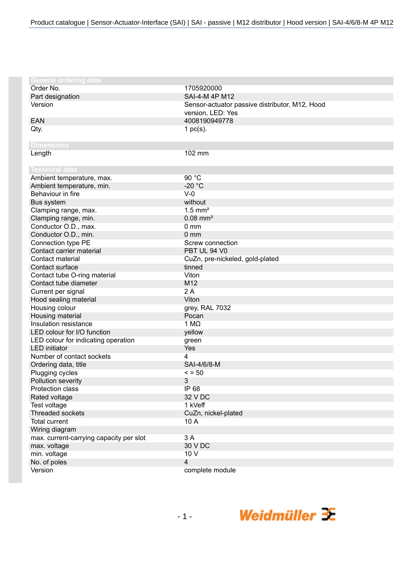| Order No.<br>1705920000<br>SAI-4-M 4P M12<br>Part designation<br>Version<br>Sensor-actuator passive distributor, M12, Hood<br>version, LED: Yes<br>4008190949778<br><b>EAN</b><br>Qty.<br>1 $pc(s)$ .<br><b>Dimensions</b><br>Length<br>102 mm<br><b>Technical data</b><br>90 °C<br>Ambient temperature, max.<br>$-20 °C$<br>Ambient temperature, min.<br>Behaviour in fire<br>$V-0$<br>Bus system<br>without<br>$1.5$ mm <sup>2</sup><br>Clamping range, max.<br>$0.08$ mm <sup>2</sup><br>Clamping range, min.<br>Conductor O.D., max.<br>0 <sub>mm</sub><br>Conductor O.D., min.<br>0 <sub>mm</sub><br>Connection type PE<br>Screw connection<br>Contact carrier material<br>PBT UL 94 V0<br>Contact material<br>CuZn, pre-nickeled, gold-plated<br>Contact surface<br>tinned<br>Viton<br>Contact tube O-ring material<br>M12<br>Contact tube diameter<br>2A<br>Current per signal<br>Viton<br>Hood sealing material<br>Housing colour<br>grey, RAL 7032<br>Housing material<br>Pocan<br>Insulation resistance<br>1 $M\Omega$<br>LED colour for I/O function<br>yellow<br>LED colour for indicating operation<br>green<br><b>LED</b> initiator<br>Yes<br>Number of contact sockets<br>4<br>SAI-4/6/8-M<br>Ordering data, title<br>$\le$ = 50<br>Plugging cycles<br>Pollution severity<br>3<br>Protection class<br>IP 68<br>32 V DC<br>Rated voltage<br>1 kVeff<br>Test voltage<br><b>Threaded sockets</b><br>CuZn, nickel-plated<br><b>Total current</b><br>10 A<br>Wiring diagram<br>3A<br>max. current-carrying capacity per slot<br>max. voltage<br>30 V DC<br>10 V<br>min. voltage<br>No. of poles<br>4<br>Version<br>complete module | <b>General ordering data</b> |  |
|----------------------------------------------------------------------------------------------------------------------------------------------------------------------------------------------------------------------------------------------------------------------------------------------------------------------------------------------------------------------------------------------------------------------------------------------------------------------------------------------------------------------------------------------------------------------------------------------------------------------------------------------------------------------------------------------------------------------------------------------------------------------------------------------------------------------------------------------------------------------------------------------------------------------------------------------------------------------------------------------------------------------------------------------------------------------------------------------------------------------------------------------------------------------------------------------------------------------------------------------------------------------------------------------------------------------------------------------------------------------------------------------------------------------------------------------------------------------------------------------------------------------------------------------------------------------------------------------------------------------------------------------|------------------------------|--|
|                                                                                                                                                                                                                                                                                                                                                                                                                                                                                                                                                                                                                                                                                                                                                                                                                                                                                                                                                                                                                                                                                                                                                                                                                                                                                                                                                                                                                                                                                                                                                                                                                                              |                              |  |
|                                                                                                                                                                                                                                                                                                                                                                                                                                                                                                                                                                                                                                                                                                                                                                                                                                                                                                                                                                                                                                                                                                                                                                                                                                                                                                                                                                                                                                                                                                                                                                                                                                              |                              |  |
|                                                                                                                                                                                                                                                                                                                                                                                                                                                                                                                                                                                                                                                                                                                                                                                                                                                                                                                                                                                                                                                                                                                                                                                                                                                                                                                                                                                                                                                                                                                                                                                                                                              |                              |  |
|                                                                                                                                                                                                                                                                                                                                                                                                                                                                                                                                                                                                                                                                                                                                                                                                                                                                                                                                                                                                                                                                                                                                                                                                                                                                                                                                                                                                                                                                                                                                                                                                                                              |                              |  |
|                                                                                                                                                                                                                                                                                                                                                                                                                                                                                                                                                                                                                                                                                                                                                                                                                                                                                                                                                                                                                                                                                                                                                                                                                                                                                                                                                                                                                                                                                                                                                                                                                                              |                              |  |
|                                                                                                                                                                                                                                                                                                                                                                                                                                                                                                                                                                                                                                                                                                                                                                                                                                                                                                                                                                                                                                                                                                                                                                                                                                                                                                                                                                                                                                                                                                                                                                                                                                              |                              |  |
|                                                                                                                                                                                                                                                                                                                                                                                                                                                                                                                                                                                                                                                                                                                                                                                                                                                                                                                                                                                                                                                                                                                                                                                                                                                                                                                                                                                                                                                                                                                                                                                                                                              |                              |  |
|                                                                                                                                                                                                                                                                                                                                                                                                                                                                                                                                                                                                                                                                                                                                                                                                                                                                                                                                                                                                                                                                                                                                                                                                                                                                                                                                                                                                                                                                                                                                                                                                                                              |                              |  |
|                                                                                                                                                                                                                                                                                                                                                                                                                                                                                                                                                                                                                                                                                                                                                                                                                                                                                                                                                                                                                                                                                                                                                                                                                                                                                                                                                                                                                                                                                                                                                                                                                                              |                              |  |
|                                                                                                                                                                                                                                                                                                                                                                                                                                                                                                                                                                                                                                                                                                                                                                                                                                                                                                                                                                                                                                                                                                                                                                                                                                                                                                                                                                                                                                                                                                                                                                                                                                              |                              |  |
|                                                                                                                                                                                                                                                                                                                                                                                                                                                                                                                                                                                                                                                                                                                                                                                                                                                                                                                                                                                                                                                                                                                                                                                                                                                                                                                                                                                                                                                                                                                                                                                                                                              |                              |  |
|                                                                                                                                                                                                                                                                                                                                                                                                                                                                                                                                                                                                                                                                                                                                                                                                                                                                                                                                                                                                                                                                                                                                                                                                                                                                                                                                                                                                                                                                                                                                                                                                                                              |                              |  |
|                                                                                                                                                                                                                                                                                                                                                                                                                                                                                                                                                                                                                                                                                                                                                                                                                                                                                                                                                                                                                                                                                                                                                                                                                                                                                                                                                                                                                                                                                                                                                                                                                                              |                              |  |
|                                                                                                                                                                                                                                                                                                                                                                                                                                                                                                                                                                                                                                                                                                                                                                                                                                                                                                                                                                                                                                                                                                                                                                                                                                                                                                                                                                                                                                                                                                                                                                                                                                              |                              |  |
|                                                                                                                                                                                                                                                                                                                                                                                                                                                                                                                                                                                                                                                                                                                                                                                                                                                                                                                                                                                                                                                                                                                                                                                                                                                                                                                                                                                                                                                                                                                                                                                                                                              |                              |  |
|                                                                                                                                                                                                                                                                                                                                                                                                                                                                                                                                                                                                                                                                                                                                                                                                                                                                                                                                                                                                                                                                                                                                                                                                                                                                                                                                                                                                                                                                                                                                                                                                                                              |                              |  |
|                                                                                                                                                                                                                                                                                                                                                                                                                                                                                                                                                                                                                                                                                                                                                                                                                                                                                                                                                                                                                                                                                                                                                                                                                                                                                                                                                                                                                                                                                                                                                                                                                                              |                              |  |
|                                                                                                                                                                                                                                                                                                                                                                                                                                                                                                                                                                                                                                                                                                                                                                                                                                                                                                                                                                                                                                                                                                                                                                                                                                                                                                                                                                                                                                                                                                                                                                                                                                              |                              |  |
|                                                                                                                                                                                                                                                                                                                                                                                                                                                                                                                                                                                                                                                                                                                                                                                                                                                                                                                                                                                                                                                                                                                                                                                                                                                                                                                                                                                                                                                                                                                                                                                                                                              |                              |  |
|                                                                                                                                                                                                                                                                                                                                                                                                                                                                                                                                                                                                                                                                                                                                                                                                                                                                                                                                                                                                                                                                                                                                                                                                                                                                                                                                                                                                                                                                                                                                                                                                                                              |                              |  |
|                                                                                                                                                                                                                                                                                                                                                                                                                                                                                                                                                                                                                                                                                                                                                                                                                                                                                                                                                                                                                                                                                                                                                                                                                                                                                                                                                                                                                                                                                                                                                                                                                                              |                              |  |
|                                                                                                                                                                                                                                                                                                                                                                                                                                                                                                                                                                                                                                                                                                                                                                                                                                                                                                                                                                                                                                                                                                                                                                                                                                                                                                                                                                                                                                                                                                                                                                                                                                              |                              |  |
|                                                                                                                                                                                                                                                                                                                                                                                                                                                                                                                                                                                                                                                                                                                                                                                                                                                                                                                                                                                                                                                                                                                                                                                                                                                                                                                                                                                                                                                                                                                                                                                                                                              |                              |  |
|                                                                                                                                                                                                                                                                                                                                                                                                                                                                                                                                                                                                                                                                                                                                                                                                                                                                                                                                                                                                                                                                                                                                                                                                                                                                                                                                                                                                                                                                                                                                                                                                                                              |                              |  |
|                                                                                                                                                                                                                                                                                                                                                                                                                                                                                                                                                                                                                                                                                                                                                                                                                                                                                                                                                                                                                                                                                                                                                                                                                                                                                                                                                                                                                                                                                                                                                                                                                                              |                              |  |
|                                                                                                                                                                                                                                                                                                                                                                                                                                                                                                                                                                                                                                                                                                                                                                                                                                                                                                                                                                                                                                                                                                                                                                                                                                                                                                                                                                                                                                                                                                                                                                                                                                              |                              |  |
|                                                                                                                                                                                                                                                                                                                                                                                                                                                                                                                                                                                                                                                                                                                                                                                                                                                                                                                                                                                                                                                                                                                                                                                                                                                                                                                                                                                                                                                                                                                                                                                                                                              |                              |  |
|                                                                                                                                                                                                                                                                                                                                                                                                                                                                                                                                                                                                                                                                                                                                                                                                                                                                                                                                                                                                                                                                                                                                                                                                                                                                                                                                                                                                                                                                                                                                                                                                                                              |                              |  |
|                                                                                                                                                                                                                                                                                                                                                                                                                                                                                                                                                                                                                                                                                                                                                                                                                                                                                                                                                                                                                                                                                                                                                                                                                                                                                                                                                                                                                                                                                                                                                                                                                                              |                              |  |
|                                                                                                                                                                                                                                                                                                                                                                                                                                                                                                                                                                                                                                                                                                                                                                                                                                                                                                                                                                                                                                                                                                                                                                                                                                                                                                                                                                                                                                                                                                                                                                                                                                              |                              |  |
|                                                                                                                                                                                                                                                                                                                                                                                                                                                                                                                                                                                                                                                                                                                                                                                                                                                                                                                                                                                                                                                                                                                                                                                                                                                                                                                                                                                                                                                                                                                                                                                                                                              |                              |  |
|                                                                                                                                                                                                                                                                                                                                                                                                                                                                                                                                                                                                                                                                                                                                                                                                                                                                                                                                                                                                                                                                                                                                                                                                                                                                                                                                                                                                                                                                                                                                                                                                                                              |                              |  |
|                                                                                                                                                                                                                                                                                                                                                                                                                                                                                                                                                                                                                                                                                                                                                                                                                                                                                                                                                                                                                                                                                                                                                                                                                                                                                                                                                                                                                                                                                                                                                                                                                                              |                              |  |
|                                                                                                                                                                                                                                                                                                                                                                                                                                                                                                                                                                                                                                                                                                                                                                                                                                                                                                                                                                                                                                                                                                                                                                                                                                                                                                                                                                                                                                                                                                                                                                                                                                              |                              |  |
|                                                                                                                                                                                                                                                                                                                                                                                                                                                                                                                                                                                                                                                                                                                                                                                                                                                                                                                                                                                                                                                                                                                                                                                                                                                                                                                                                                                                                                                                                                                                                                                                                                              |                              |  |
|                                                                                                                                                                                                                                                                                                                                                                                                                                                                                                                                                                                                                                                                                                                                                                                                                                                                                                                                                                                                                                                                                                                                                                                                                                                                                                                                                                                                                                                                                                                                                                                                                                              |                              |  |
|                                                                                                                                                                                                                                                                                                                                                                                                                                                                                                                                                                                                                                                                                                                                                                                                                                                                                                                                                                                                                                                                                                                                                                                                                                                                                                                                                                                                                                                                                                                                                                                                                                              |                              |  |
|                                                                                                                                                                                                                                                                                                                                                                                                                                                                                                                                                                                                                                                                                                                                                                                                                                                                                                                                                                                                                                                                                                                                                                                                                                                                                                                                                                                                                                                                                                                                                                                                                                              |                              |  |
|                                                                                                                                                                                                                                                                                                                                                                                                                                                                                                                                                                                                                                                                                                                                                                                                                                                                                                                                                                                                                                                                                                                                                                                                                                                                                                                                                                                                                                                                                                                                                                                                                                              |                              |  |
|                                                                                                                                                                                                                                                                                                                                                                                                                                                                                                                                                                                                                                                                                                                                                                                                                                                                                                                                                                                                                                                                                                                                                                                                                                                                                                                                                                                                                                                                                                                                                                                                                                              |                              |  |
|                                                                                                                                                                                                                                                                                                                                                                                                                                                                                                                                                                                                                                                                                                                                                                                                                                                                                                                                                                                                                                                                                                                                                                                                                                                                                                                                                                                                                                                                                                                                                                                                                                              |                              |  |
|                                                                                                                                                                                                                                                                                                                                                                                                                                                                                                                                                                                                                                                                                                                                                                                                                                                                                                                                                                                                                                                                                                                                                                                                                                                                                                                                                                                                                                                                                                                                                                                                                                              |                              |  |
|                                                                                                                                                                                                                                                                                                                                                                                                                                                                                                                                                                                                                                                                                                                                                                                                                                                                                                                                                                                                                                                                                                                                                                                                                                                                                                                                                                                                                                                                                                                                                                                                                                              |                              |  |
|                                                                                                                                                                                                                                                                                                                                                                                                                                                                                                                                                                                                                                                                                                                                                                                                                                                                                                                                                                                                                                                                                                                                                                                                                                                                                                                                                                                                                                                                                                                                                                                                                                              |                              |  |
|                                                                                                                                                                                                                                                                                                                                                                                                                                                                                                                                                                                                                                                                                                                                                                                                                                                                                                                                                                                                                                                                                                                                                                                                                                                                                                                                                                                                                                                                                                                                                                                                                                              |                              |  |
|                                                                                                                                                                                                                                                                                                                                                                                                                                                                                                                                                                                                                                                                                                                                                                                                                                                                                                                                                                                                                                                                                                                                                                                                                                                                                                                                                                                                                                                                                                                                                                                                                                              |                              |  |
|                                                                                                                                                                                                                                                                                                                                                                                                                                                                                                                                                                                                                                                                                                                                                                                                                                                                                                                                                                                                                                                                                                                                                                                                                                                                                                                                                                                                                                                                                                                                                                                                                                              |                              |  |